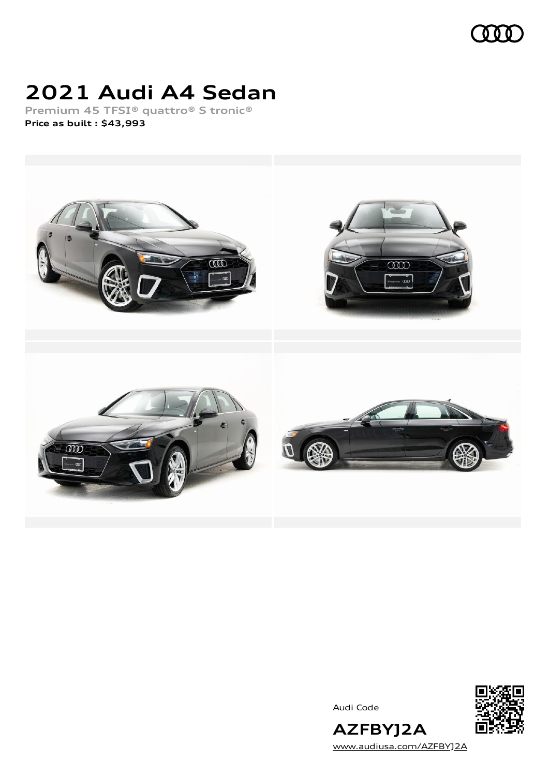

## **2021 Audi A4 Sedan**

**Premium 45 TFSI® quattro® S tronic® Price as built [:](#page-10-0) \$43,993**



Audi Code



[www.audiusa.com/AZFBYJ2A](https://www.audiusa.com/AZFBYJ2A)

**AZFBYJ2A**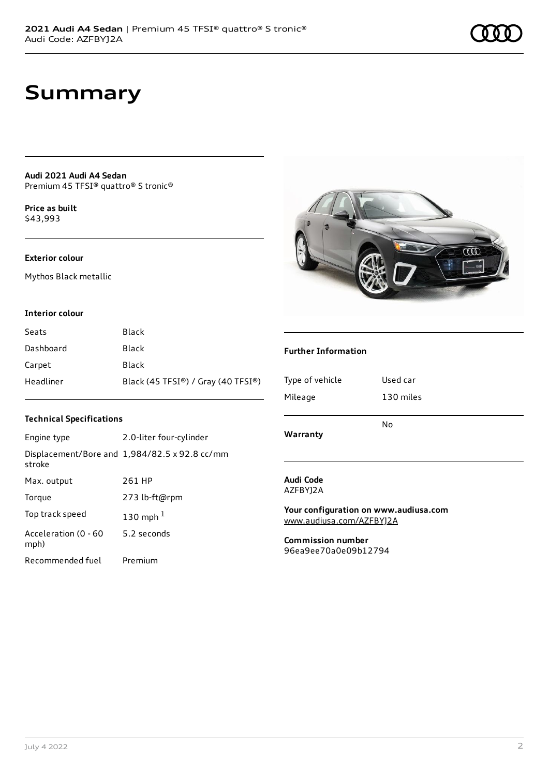### **Summary**

**Audi 2021 Audi A4 Sedan** Premium 45 TFSI® quattro® S tronic®

**Price as buil[t](#page-10-0)** \$43,993

#### **Exterior colour**

Mythos Black metallic

#### **Interior colour**

| Seats     | Black                              |
|-----------|------------------------------------|
| Dashboard | Black                              |
| Carpet    | Black                              |
| Headliner | Black (45 TFSI®) / Gray (40 TFSI®) |

#### **Technical Specifications**

| Engine type                  | 2.0-liter four-cylinder                              |
|------------------------------|------------------------------------------------------|
| stroke                       | Displacement/Bore and $1,984/82.5 \times 92.8$ cc/mm |
| Max. output                  | 261 HP                                               |
| Torque                       | 273 lb-ft@rpm                                        |
| Top track speed              | 130 mph $1$                                          |
| Acceleration (0 - 60<br>mph) | 5.2 seconds                                          |
| Recommended fuel             | Premium                                              |



#### **Further Information**

| Type of vehicle | Used car  |
|-----------------|-----------|
| Mileage         | 130 miles |
| Warranty        | No        |

#### **Audi Code** AZFBYJ2A

**Your configuration on www.audiusa.com** [www.audiusa.com/AZFBYJ2A](https://www.audiusa.com/AZFBYJ2A)

**Commission number** 96ea9ee70a0e09b12794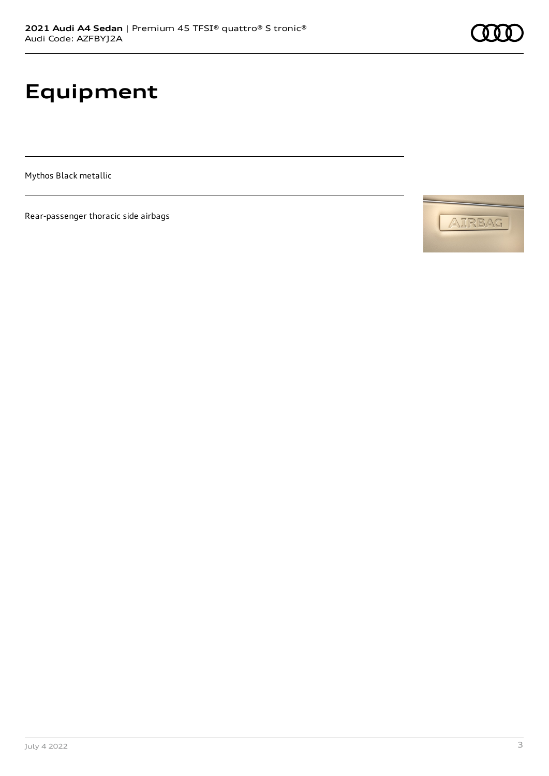# **Equipment**

Mythos Black metallic

Rear-passenger thoracic side airbags



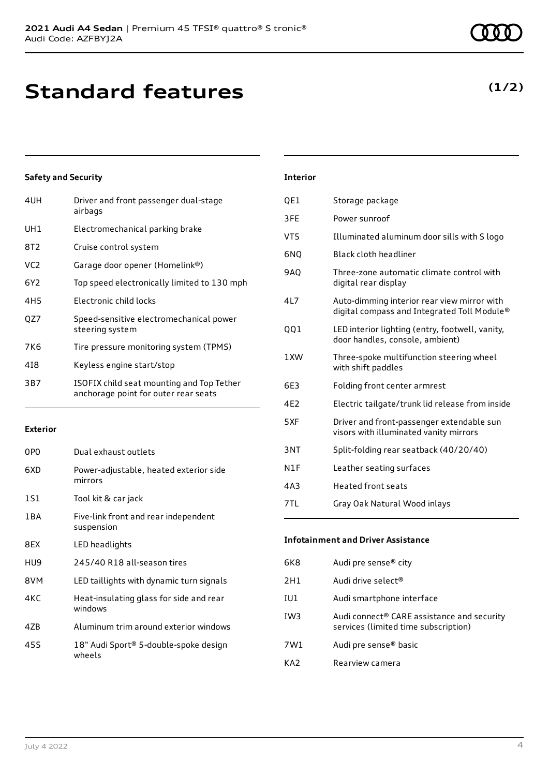July 4 2022 4

**Safety and Security**

| 4UH             | Driver and front passenger dual-stage<br>airbags                                  |
|-----------------|-----------------------------------------------------------------------------------|
| UH <sub>1</sub> | Electromechanical parking brake                                                   |
| 8T <sub>2</sub> | Cruise control system                                                             |
| VC <sub>2</sub> | Garage door opener (Homelink®)                                                    |
| 6Y <sub>2</sub> | Top speed electronically limited to 130 mph                                       |
| 4H <sub>5</sub> | Electronic child locks                                                            |
| QZ7             | Speed-sensitive electromechanical power<br>steering system                        |
| 7K6             | Tire pressure monitoring system (TPMS)                                            |
| 418             | Keyless engine start/stop                                                         |
| 3B7             | ISOFIX child seat mounting and Top Tether<br>anchorage point for outer rear seats |

#### **Exterior**

| 0P <sub>0</sub> | Dual exhaust outlets                               |
|-----------------|----------------------------------------------------|
| 6XD             | Power-adjustable, heated exterior side<br>mirrors  |
| 1S1             | Tool kit & car jack                                |
| 1 B A           | Five-link front and rear independent<br>suspension |
| 8EX             | LED headlights                                     |
| HU9             | 245/40 R18 all-season tires                        |
| 8VM             | LED taillights with dynamic turn signals           |
| 4KC             | Heat-insulating glass for side and rear<br>windows |
| 47B             | Aluminum trim around exterior windows              |
| 45S             | 18" Audi Sport® 5-double-spoke design<br>wheels    |

### QE1 Storage package 3FE Power sunroof VT5 Illuminated aluminum door sills with S logo 6NQ Black cloth headliner 9AQ Three-zone automatic climate control with digital rear display 4L7 Auto-dimming interior rear view mirror with digital compass and Integrated Toll Module® QQ1 LED interior lighting (entry, footwell, vanity, door handles, console, ambient) 1XW Three-spoke multifunction steering wheel with shift paddles 6E3 Folding front center armrest 4E2 Electric tailgate/trunk lid release from inside 5XF Driver and front-passenger extendable sun

**Interior**

|     | visors with illuminated vanity mirrors |
|-----|----------------------------------------|
| 3NT | Split-folding rear seatback (40/20/40) |
| N1F | Leather seating surfaces               |
| 4A3 | Heated front seats                     |

| 7TL | Gray Oak Natural Wood inlays |  |
|-----|------------------------------|--|

**Infotainment and Driver Assistance**

| 6K8 | Audi pre sense <sup>®</sup> city                                                   |
|-----|------------------------------------------------------------------------------------|
| 2H1 | Audi drive select <sup>®</sup>                                                     |
| IU1 | Audi smartphone interface                                                          |
| IW3 | Audi connect® CARE assistance and security<br>services (limited time subscription) |
| 7W1 | Audi pre sense <sup>®</sup> basic                                                  |
| KA2 | Rearview camera                                                                    |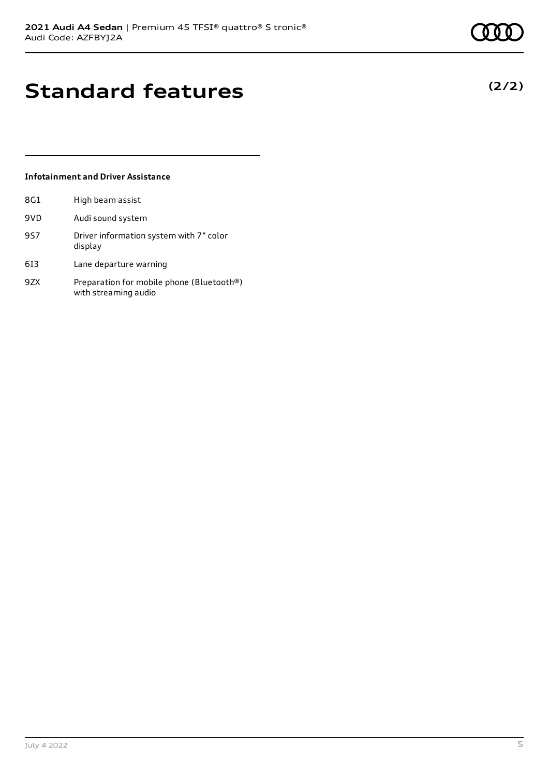**(2/2)**

## **Standard features**

#### **Infotainment and Driver Assistance**

| 8G1 | High beam assist                                                  |
|-----|-------------------------------------------------------------------|
| 9VD | Audi sound system                                                 |
| 957 | Driver information system with 7" color<br>display                |
| 613 | Lane departure warning                                            |
| 97X | Preparation for mobile phone (Bluetooth®)<br>with streaming audio |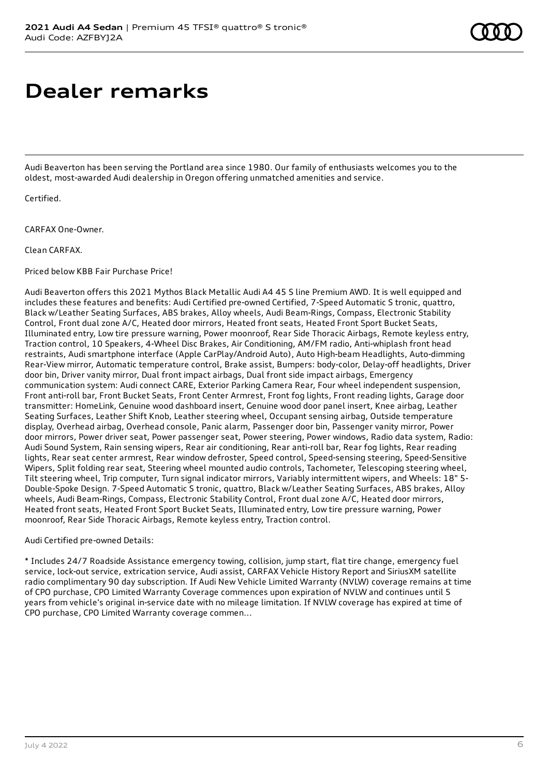### **Dealer remarks**

Audi Beaverton has been serving the Portland area since 1980. Our family of enthusiasts welcomes you to the oldest, most-awarded Audi dealership in Oregon offering unmatched amenities and service.

Certified.

CARFAX One-Owner.

Clean CARFAX.

Priced below KBB Fair Purchase Price!

Audi Beaverton offers this 2021 Mythos Black Metallic Audi A4 45 S line Premium AWD. It is well equipped and includes these features and benefits: Audi Certified pre-owned Certified, 7-Speed Automatic S tronic, quattro, Black w/Leather Seating Surfaces, ABS brakes, Alloy wheels, Audi Beam-Rings, Compass, Electronic Stability Control, Front dual zone A/C, Heated door mirrors, Heated front seats, Heated Front Sport Bucket Seats, Illuminated entry, Low tire pressure warning, Power moonroof, Rear Side Thoracic Airbags, Remote keyless entry, Traction control, 10 Speakers, 4-Wheel Disc Brakes, Air Conditioning, AM/FM radio, Anti-whiplash front head restraints, Audi smartphone interface (Apple CarPlay/Android Auto), Auto High-beam Headlights, Auto-dimming Rear-View mirror, Automatic temperature control, Brake assist, Bumpers: body-color, Delay-off headlights, Driver door bin, Driver vanity mirror, Dual front impact airbags, Dual front side impact airbags, Emergency communication system: Audi connect CARE, Exterior Parking Camera Rear, Four wheel independent suspension, Front anti-roll bar, Front Bucket Seats, Front Center Armrest, Front fog lights, Front reading lights, Garage door transmitter: HomeLink, Genuine wood dashboard insert, Genuine wood door panel insert, Knee airbag, Leather Seating Surfaces, Leather Shift Knob, Leather steering wheel, Occupant sensing airbag, Outside temperature display, Overhead airbag, Overhead console, Panic alarm, Passenger door bin, Passenger vanity mirror, Power door mirrors, Power driver seat, Power passenger seat, Power steering, Power windows, Radio data system, Radio: Audi Sound System, Rain sensing wipers, Rear air conditioning, Rear anti-roll bar, Rear fog lights, Rear reading lights, Rear seat center armrest, Rear window defroster, Speed control, Speed-sensing steering, Speed-Sensitive Wipers, Split folding rear seat, Steering wheel mounted audio controls, Tachometer, Telescoping steering wheel, Tilt steering wheel, Trip computer, Turn signal indicator mirrors, Variably intermittent wipers, and Wheels: 18" 5- Double-Spoke Design. 7-Speed Automatic S tronic, quattro, Black w/Leather Seating Surfaces, ABS brakes, Alloy wheels, Audi Beam-Rings, Compass, Electronic Stability Control, Front dual zone A/C, Heated door mirrors, Heated front seats, Heated Front Sport Bucket Seats, Illuminated entry, Low tire pressure warning, Power moonroof, Rear Side Thoracic Airbags, Remote keyless entry, Traction control.

Audi Certified pre-owned Details:

\* Includes 24/7 Roadside Assistance emergency towing, collision, jump start, flat tire change, emergency fuel service, lock-out service, extrication service, Audi assist, CARFAX Vehicle History Report and SiriusXM satellite radio complimentary 90 day subscription. If Audi New Vehicle Limited Warranty (NVLW) coverage remains at time of CPO purchase, CPO Limited Warranty Coverage commences upon expiration of NVLW and continues until 5 years from vehicle's original in-service date with no mileage limitation. If NVLW coverage has expired at time of CPO purchase, CPO Limited Warranty coverage commen...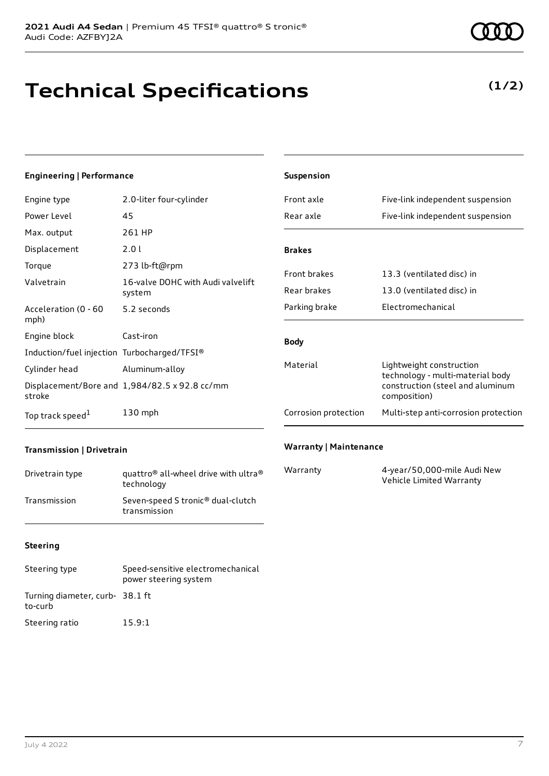## **Technical Specifications**

#### **Engineering | Performance**

| Engine type                                 | 2.0-liter four-cylinder                              |
|---------------------------------------------|------------------------------------------------------|
| Power Level                                 | 45                                                   |
| Max. output                                 | 261 HP                                               |
| Displacement                                | 2.01                                                 |
| Torque                                      | 273 lb-ft@rpm                                        |
| Valvetrain                                  | 16-valve DOHC with Audi valvelift<br>system          |
| Acceleration (0 - 60<br>mph)                | 5.2 seconds                                          |
| Engine block                                | Cast-iron                                            |
| Induction/fuel injection Turbocharged/TFSI® |                                                      |
| Cylinder head                               | Aluminum-alloy                                       |
| stroke                                      | Displacement/Bore and $1,984/82.5 \times 92.8$ cc/mm |
| Top track speed <sup>1</sup>                | 130 mph                                              |

| <b>Suspension</b>    |                                                                                                                  |  |
|----------------------|------------------------------------------------------------------------------------------------------------------|--|
| Front axle           | Five-link independent suspension                                                                                 |  |
| Rear axle            | Five-link independent suspension                                                                                 |  |
|                      |                                                                                                                  |  |
| <b>Brakes</b>        |                                                                                                                  |  |
| <b>Front brakes</b>  | 13.3 (ventilated disc) in                                                                                        |  |
| Rear brakes          | 13.0 (ventilated disc) in                                                                                        |  |
| Parking brake        | Flectromechanical                                                                                                |  |
| <b>Body</b>          |                                                                                                                  |  |
| Material             | Lightweight construction<br>technology - multi-material body<br>construction (steel and aluminum<br>composition) |  |
| Corrosion protection | Multi-step anti-corrosion protection                                                                             |  |
|                      |                                                                                                                  |  |

#### **Transmission | Drivetrain**

| Drivetrain type | quattro <sup>®</sup> all-wheel drive with ultra <sup>®</sup><br>technology |
|-----------------|----------------------------------------------------------------------------|
| Transmission    | Seven-speed S tronic <sup>®</sup> dual-clutch<br>transmission              |

# **Steering**

### Steering type Speed-sensitive electromechanical power steering system Turning diameter, curb-38.1 ft to-curb Steering ratio 15.9:1

### Warranty 4-year/50,000-mile Audi New Vehicle Limited Warranty

**Warranty | Maintenance**

### **(1/2)**

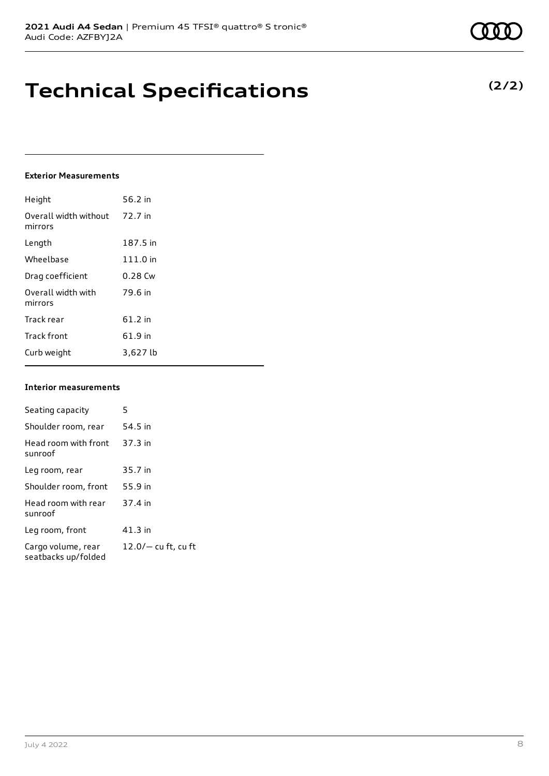### **Technical Specifications**

#### **Exterior** Mea

| Height                           | 56.2 in   |
|----------------------------------|-----------|
| Overall width without<br>mirrors | 72.7 in   |
| Length                           | 187.5 in  |
| Wheelbase                        | 111.0 in  |
| Drag coefficient                 | $0.28$ Cw |
| Overall width with<br>mirrors    | 79.6 in   |
| Track rear                       | $61.2$ in |
| <b>Track front</b>               | 61.9 in   |
| Curb weight                      | 3,627 lb  |

#### **Interior measurements**

| Seating capacity                          | 5                     |
|-------------------------------------------|-----------------------|
| Shoulder room, rear                       | 54.5 in               |
| Head room with front<br>sunroof           | 37.3 in               |
| Leg room, rear                            | 35.7 in               |
| Shoulder room, front                      | 55.9 in               |
| Head room with rear<br>sunroof            | 37.4 in               |
| Leg room, front                           | $41.3$ in             |
| Cargo volume, rear<br>seatbacks up/folded | $12.0/-$ cu ft, cu ft |

| <b>nical Specificati</b> |                      |  |
|--------------------------|----------------------|--|
| asurements               |                      |  |
|                          | 56.2 in              |  |
| h without 72.7 in:       |                      |  |
|                          | 187.5 in<br>111.0 in |  |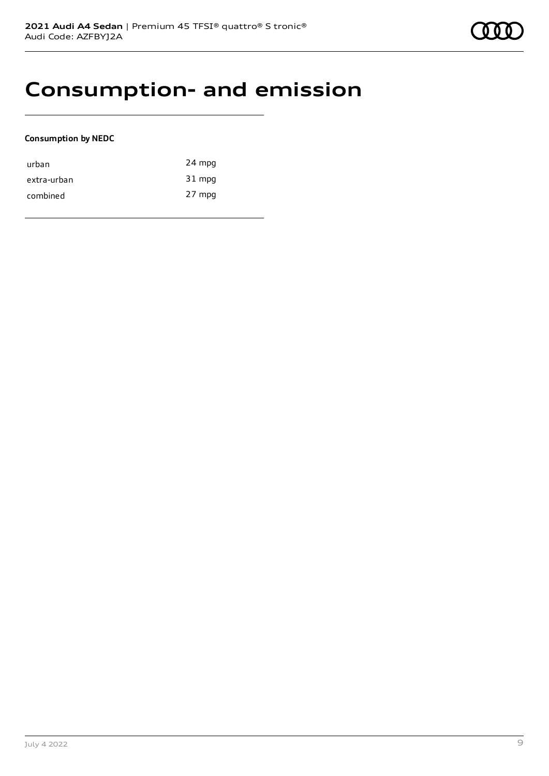### **Consumption- and emission**

#### **Consumption by NEDC**

| urban       | 24 mpg |
|-------------|--------|
| extra-urban | 31 mpg |
| combined    | 27 mpg |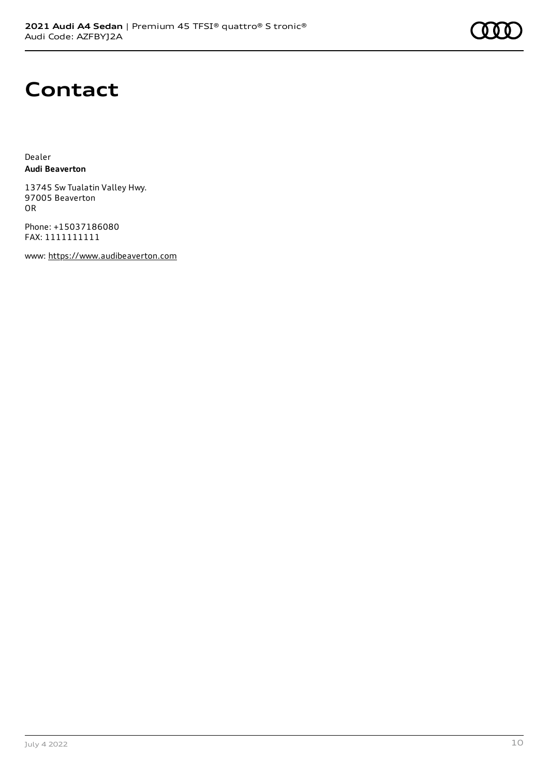

## **Contact**

Dealer **Audi Beaverton**

13745 Sw Tualatin Valley Hwy. 97005 Beaverton OR

Phone: +15037186080 FAX: 1111111111

www: [https://www.audibeaverton.com](https://www.audibeaverton.com/)